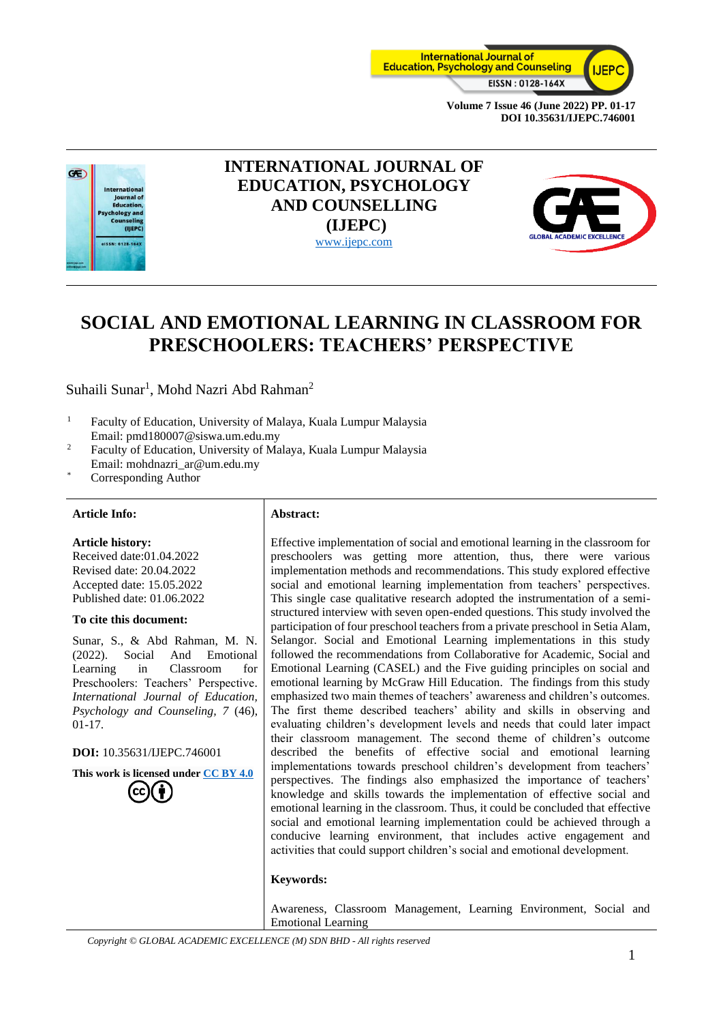



# **INTERNATIONAL JOURNAL OF EDUCATION, PSYCHOLOGY AND COUNSELLING (IJEPC)** [www.ijepc.com](http://www.ijepc.com/)



# **SOCIAL AND EMOTIONAL LEARNING IN CLASSROOM FOR PRESCHOOLERS: TEACHERS' PERSPECTIVE**

Suhaili Sunar<sup>1</sup>, Mohd Nazri Abd Rahman<sup>2</sup>

- <sup>1</sup> Faculty of Education, University of Malaya, Kuala Lumpur Malaysia Email: pmd180007@siswa.um.edu.my
- <sup>2</sup> Faculty of Education, University of Malaya, Kuala Lumpur Malaysia Email: mohdnazri\_ar@um.edu.my
- Corresponding Author

#### **Article Info: Abstract:**

#### **Article history:**

Received date:01.04.2022 Revised date: 20.04.2022 Accepted date: 15.05.2022 Published date: 01.06.2022

#### **To cite this document:**

Sunar, S., & Abd Rahman, M. N. (2022). Social And Emotional Learning in Classroom for Preschoolers: Teachers' Perspective. *International Journal of Education, Psychology and Counseling, 7* (46), 01-17.

**DOI:** 10.35631/IJEPC.746001

**This work is licensed under [CC BY 4.0](https://creativecommons.org/licenses/by/4.0/?ref=chooser-v1)**

Effective implementation of social and emotional learning in the classroom for preschoolers was getting more attention, thus, there were various implementation methods and recommendations. This study explored effective social and emotional learning implementation from teachers' perspectives. This single case qualitative research adopted the instrumentation of a semistructured interview with seven open-ended questions. This study involved the participation of four preschool teachers from a private preschool in Setia Alam, Selangor. Social and Emotional Learning implementations in this study followed the recommendations from Collaborative for Academic, Social and Emotional Learning (CASEL) and the Five guiding principles on social and emotional learning by McGraw Hill Education. The findings from this study emphasized two main themes of teachers' awareness and children's outcomes. The first theme described teachers' ability and skills in observing and evaluating children's development levels and needs that could later impact their classroom management. The second theme of children's outcome described the benefits of effective social and emotional learning implementations towards preschool children's development from teachers' perspectives. The findings also emphasized the importance of teachers' knowledge and skills towards the implementation of effective social and emotional learning in the classroom. Thus, it could be concluded that effective social and emotional learning implementation could be achieved through a conducive learning environment, that includes active engagement and activities that could support children's social and emotional development.

#### **Keywords:**

Awareness, Classroom Management, Learning Environment, Social and Emotional Learning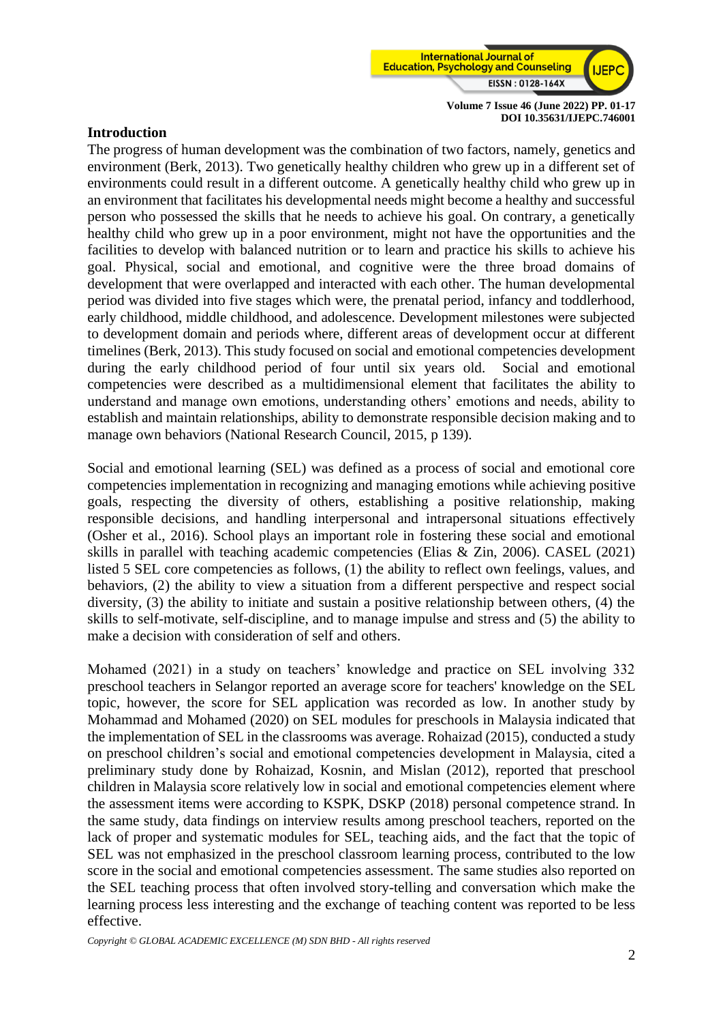

### **Introduction**

The progress of human development was the combination of two factors, namely, genetics and environment (Berk, 2013). Two genetically healthy children who grew up in a different set of environments could result in a different outcome. A genetically healthy child who grew up in an environment that facilitates his developmental needs might become a healthy and successful person who possessed the skills that he needs to achieve his goal. On contrary, a genetically healthy child who grew up in a poor environment, might not have the opportunities and the facilities to develop with balanced nutrition or to learn and practice his skills to achieve his goal. Physical, social and emotional, and cognitive were the three broad domains of development that were overlapped and interacted with each other. The human developmental period was divided into five stages which were, the prenatal period, infancy and toddlerhood, early childhood, middle childhood, and adolescence. Development milestones were subjected to development domain and periods where, different areas of development occur at different timelines (Berk, 2013). This study focused on social and emotional competencies development during the early childhood period of four until six years old. Social and emotional competencies were described as a multidimensional element that facilitates the ability to understand and manage own emotions, understanding others' emotions and needs, ability to establish and maintain relationships, ability to demonstrate responsible decision making and to manage own behaviors (National Research Council, 2015, p 139).

Social and emotional learning (SEL) was defined as a process of social and emotional core competencies implementation in recognizing and managing emotions while achieving positive goals, respecting the diversity of others, establishing a positive relationship, making responsible decisions, and handling interpersonal and intrapersonal situations effectively (Osher et al., 2016). School plays an important role in fostering these social and emotional skills in parallel with teaching academic competencies (Elias & Zin, 2006). CASEL (2021) listed 5 SEL core competencies as follows, (1) the ability to reflect own feelings, values, and behaviors, (2) the ability to view a situation from a different perspective and respect social diversity, (3) the ability to initiate and sustain a positive relationship between others, (4) the skills to self-motivate, self-discipline, and to manage impulse and stress and (5) the ability to make a decision with consideration of self and others.

Mohamed (2021) in a study on teachers' knowledge and practice on SEL involving 332 preschool teachers in Selangor reported an average score for teachers' knowledge on the SEL topic, however, the score for SEL application was recorded as low. In another study by Mohammad and Mohamed (2020) on SEL modules for preschools in Malaysia indicated that the implementation of SEL in the classrooms was average. Rohaizad (2015), conducted a study on preschool children's social and emotional competencies development in Malaysia, cited a preliminary study done by Rohaizad, Kosnin, and Mislan (2012), reported that preschool children in Malaysia score relatively low in social and emotional competencies element where the assessment items were according to KSPK, DSKP (2018) personal competence strand. In the same study, data findings on interview results among preschool teachers, reported on the lack of proper and systematic modules for SEL, teaching aids, and the fact that the topic of SEL was not emphasized in the preschool classroom learning process, contributed to the low score in the social and emotional competencies assessment. The same studies also reported on the SEL teaching process that often involved story-telling and conversation which make the learning process less interesting and the exchange of teaching content was reported to be less effective.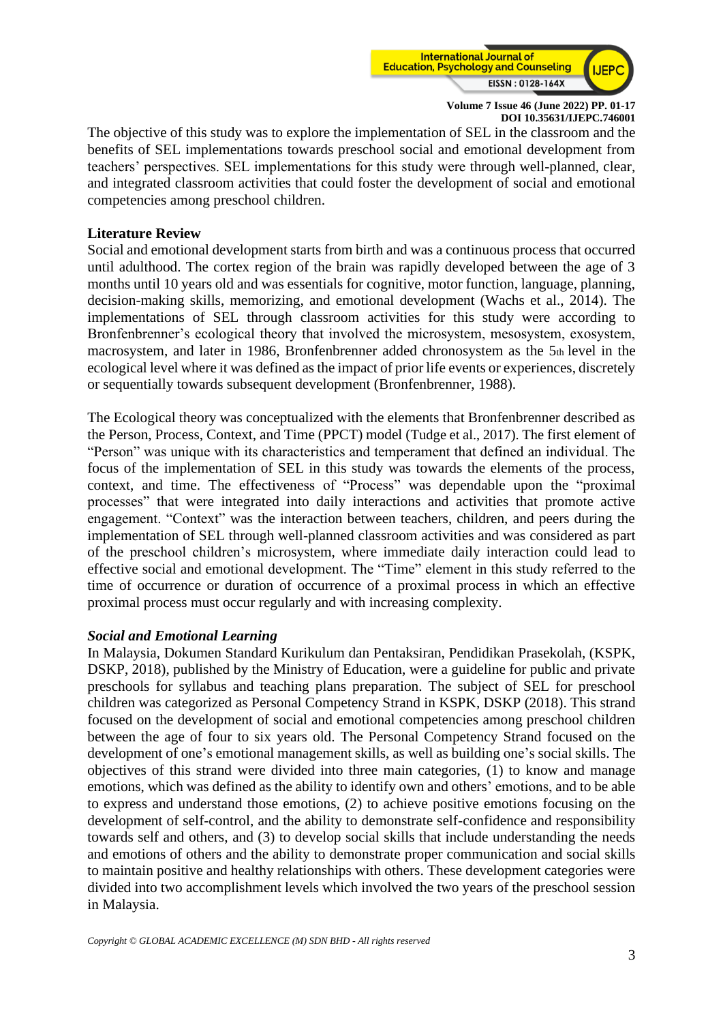

The objective of this study was to explore the implementation of SEL in the classroom and the benefits of SEL implementations towards preschool social and emotional development from teachers' perspectives. SEL implementations for this study were through well-planned, clear, and integrated classroom activities that could foster the development of social and emotional competencies among preschool children.

### **Literature Review**

Social and emotional development starts from birth and was a continuous process that occurred until adulthood. The cortex region of the brain was rapidly developed between the age of 3 months until 10 years old and was essentials for cognitive, motor function, language, planning, decision-making skills, memorizing, and emotional development (Wachs et al., 2014). The implementations of SEL through classroom activities for this study were according to Bronfenbrenner's ecological theory that involved the microsystem, mesosystem, exosystem, macrosystem, and later in 1986, Bronfenbrenner added chronosystem as the 5th level in the ecological level where it was defined as the impact of prior life events or experiences, discretely or sequentially towards subsequent development (Bronfenbrenner, 1988).

The Ecological theory was conceptualized with the elements that Bronfenbrenner described as the Person, Process, Context, and Time (PPCT) model (Tudge et al., 2017). The first element of "Person" was unique with its characteristics and temperament that defined an individual. The focus of the implementation of SEL in this study was towards the elements of the process, context, and time. The effectiveness of "Process" was dependable upon the "proximal processes" that were integrated into daily interactions and activities that promote active engagement. "Context" was the interaction between teachers, children, and peers during the implementation of SEL through well-planned classroom activities and was considered as part of the preschool children's microsystem, where immediate daily interaction could lead to effective social and emotional development. The "Time" element in this study referred to the time of occurrence or duration of occurrence of a proximal process in which an effective proximal process must occur regularly and with increasing complexity.

### *Social and Emotional Learning*

In Malaysia, Dokumen Standard Kurikulum dan Pentaksiran, Pendidikan Prasekolah, (KSPK, DSKP, 2018), published by the Ministry of Education, were a guideline for public and private preschools for syllabus and teaching plans preparation. The subject of SEL for preschool children was categorized as Personal Competency Strand in KSPK, DSKP (2018). This strand focused on the development of social and emotional competencies among preschool children between the age of four to six years old. The Personal Competency Strand focused on the development of one's emotional management skills, as well as building one's social skills. The objectives of this strand were divided into three main categories, (1) to know and manage emotions, which was defined as the ability to identify own and others' emotions, and to be able to express and understand those emotions, (2) to achieve positive emotions focusing on the development of self-control, and the ability to demonstrate self-confidence and responsibility towards self and others, and (3) to develop social skills that include understanding the needs and emotions of others and the ability to demonstrate proper communication and social skills to maintain positive and healthy relationships with others. These development categories were divided into two accomplishment levels which involved the two years of the preschool session in Malaysia.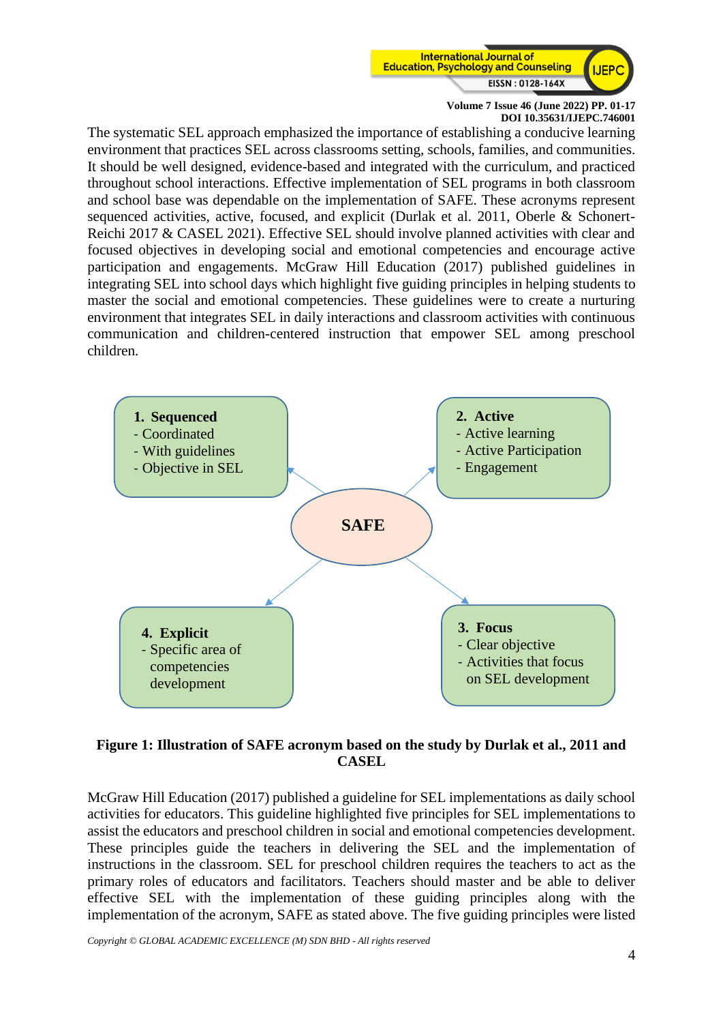

The systematic SEL approach emphasized the importance of establishing a conducive learning environment that practices SEL across classrooms setting, schools, families, and communities. It should be well designed, evidence-based and integrated with the curriculum, and practiced throughout school interactions. Effective implementation of SEL programs in both classroom and school base was dependable on the implementation of SAFE. These acronyms represent sequenced activities, active, focused, and explicit (Durlak et al. 2011, Oberle & Schonert-Reichi 2017 & CASEL 2021). Effective SEL should involve planned activities with clear and focused objectives in developing social and emotional competencies and encourage active participation and engagements. McGraw Hill Education (2017) published guidelines in integrating SEL into school days which highlight five guiding principles in helping students to master the social and emotional competencies. These guidelines were to create a nurturing environment that integrates SEL in daily interactions and classroom activities with continuous communication and children-centered instruction that empower SEL among preschool children.



# **Figure 1: Illustration of SAFE acronym based on the study by Durlak et al., 2011 and CASEL**

McGraw Hill Education (2017) published a guideline for SEL implementations as daily school activities for educators. This guideline highlighted five principles for SEL implementations to assist the educators and preschool children in social and emotional competencies development. These principles guide the teachers in delivering the SEL and the implementation of instructions in the classroom. SEL for preschool children requires the teachers to act as the primary roles of educators and facilitators. Teachers should master and be able to deliver effective SEL with the implementation of these guiding principles along with the implementation of the acronym, SAFE as stated above. The five guiding principles were listed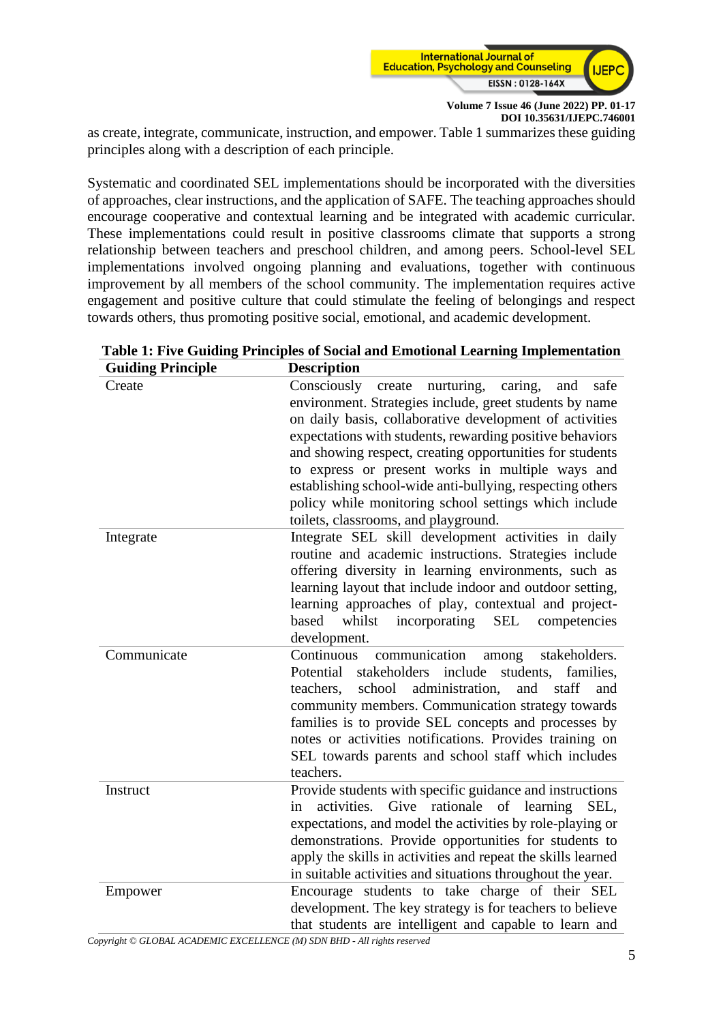

as create, integrate, communicate, instruction, and empower. Table 1 summarizes these guiding principles along with a description of each principle.

Systematic and coordinated SEL implementations should be incorporated with the diversities of approaches, clear instructions, and the application of SAFE. The teaching approaches should encourage cooperative and contextual learning and be integrated with academic curricular. These implementations could result in positive classrooms climate that supports a strong relationship between teachers and preschool children, and among peers. School-level SEL implementations involved ongoing planning and evaluations, together with continuous improvement by all members of the school community. The implementation requires active engagement and positive culture that could stimulate the feeling of belongings and respect towards others, thus promoting positive social, emotional, and academic development.

| <b>Guiding Principle</b> | <b>Description</b>                                                                                                                                                                                                                                                                                                                                                                                                                                                                                                            |
|--------------------------|-------------------------------------------------------------------------------------------------------------------------------------------------------------------------------------------------------------------------------------------------------------------------------------------------------------------------------------------------------------------------------------------------------------------------------------------------------------------------------------------------------------------------------|
| Create                   | Consciously<br>nurturing,<br>create<br>caring,<br>safe<br>and<br>environment. Strategies include, greet students by name<br>on daily basis, collaborative development of activities<br>expectations with students, rewarding positive behaviors<br>and showing respect, creating opportunities for students<br>to express or present works in multiple ways and<br>establishing school-wide anti-bullying, respecting others<br>policy while monitoring school settings which include<br>toilets, classrooms, and playground. |
| Integrate                | Integrate SEL skill development activities in daily<br>routine and academic instructions. Strategies include<br>offering diversity in learning environments, such as<br>learning layout that include indoor and outdoor setting,<br>learning approaches of play, contextual and project-<br>whilst<br>incorporating<br><b>SEL</b><br>competencies<br>based<br>development.                                                                                                                                                    |
| Communicate              | Continuous<br>communication<br>stakeholders.<br>among<br>stakeholders include<br>Potential<br>students,<br>families,<br>school<br>administration,<br>staff<br>teachers,<br>and<br>and<br>community members. Communication strategy towards<br>families is to provide SEL concepts and processes by<br>notes or activities notifications. Provides training on<br>SEL towards parents and school staff which includes<br>teachers.                                                                                             |
| Instruct                 | Provide students with specific guidance and instructions<br>rationale of learning<br>activities.<br>Give<br>in<br>SEL,<br>expectations, and model the activities by role-playing or<br>demonstrations. Provide opportunities for students to<br>apply the skills in activities and repeat the skills learned<br>in suitable activities and situations throughout the year.                                                                                                                                                    |
| Empower                  | Encourage students to take charge of their SEL<br>development. The key strategy is for teachers to believe<br>that students are intelligent and capable to learn and                                                                                                                                                                                                                                                                                                                                                          |

|  |  |  |  |  |  |  | Table 1: Five Guiding Principles of Social and Emotional Learning Implementation |  |  |  |  |  |  |  |
|--|--|--|--|--|--|--|----------------------------------------------------------------------------------|--|--|--|--|--|--|--|
|  |  |  |  |  |  |  |                                                                                  |  |  |  |  |  |  |  |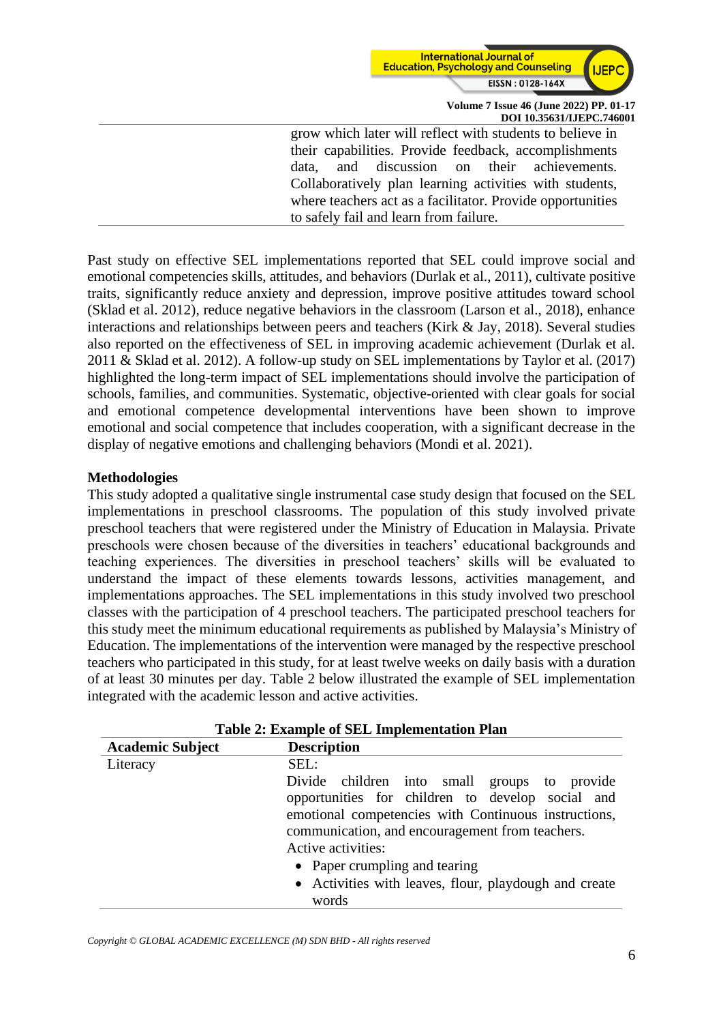

grow which later will reflect with students to believe in their capabilities. Provide feedback, accomplishments data, and discussion on their achievements. Collaboratively plan learning activities with students, where teachers act as a facilitator. Provide opportunities to safely fail and learn from failure.

Past study on effective SEL implementations reported that SEL could improve social and emotional competencies skills, attitudes, and behaviors (Durlak et al., 2011), cultivate positive traits, significantly reduce anxiety and depression, improve positive attitudes toward school (Sklad et al. 2012), reduce negative behaviors in the classroom (Larson et al., 2018), enhance interactions and relationships between peers and teachers (Kirk & Jay, 2018). Several studies also reported on the effectiveness of SEL in improving academic achievement (Durlak et al. 2011 & Sklad et al. 2012). A follow-up study on SEL implementations by Taylor et al. (2017) highlighted the long-term impact of SEL implementations should involve the participation of schools, families, and communities. Systematic, objective-oriented with clear goals for social and emotional competence developmental interventions have been shown to improve emotional and social competence that includes cooperation, with a significant decrease in the display of negative emotions and challenging behaviors (Mondi et al. 2021).

### **Methodologies**

This study adopted a qualitative single instrumental case study design that focused on the SEL implementations in preschool classrooms. The population of this study involved private preschool teachers that were registered under the Ministry of Education in Malaysia. Private preschools were chosen because of the diversities in teachers' educational backgrounds and teaching experiences. The diversities in preschool teachers' skills will be evaluated to understand the impact of these elements towards lessons, activities management, and implementations approaches. The SEL implementations in this study involved two preschool classes with the participation of 4 preschool teachers. The participated preschool teachers for this study meet the minimum educational requirements as published by Malaysia's Ministry of Education. The implementations of the intervention were managed by the respective preschool teachers who participated in this study, for at least twelve weeks on daily basis with a duration of at least 30 minutes per day. Table 2 below illustrated the example of SEL implementation integrated with the academic lesson and active activities.

| Table 2: Example of SEL Implementation Plan |                                                                                                                                                                                                                                                                    |  |  |  |  |  |  |  |
|---------------------------------------------|--------------------------------------------------------------------------------------------------------------------------------------------------------------------------------------------------------------------------------------------------------------------|--|--|--|--|--|--|--|
| <b>Academic Subject</b>                     | <b>Description</b>                                                                                                                                                                                                                                                 |  |  |  |  |  |  |  |
| Literacy                                    | SEL:                                                                                                                                                                                                                                                               |  |  |  |  |  |  |  |
|                                             | Divide children into small groups to provide<br>opportunities for children to develop social and<br>emotional competencies with Continuous instructions,<br>communication, and encouragement from teachers.<br>Active activities:<br>• Paper crumpling and tearing |  |  |  |  |  |  |  |
|                                             | • Activities with leaves, flour, playdough and create                                                                                                                                                                                                              |  |  |  |  |  |  |  |
|                                             | words                                                                                                                                                                                                                                                              |  |  |  |  |  |  |  |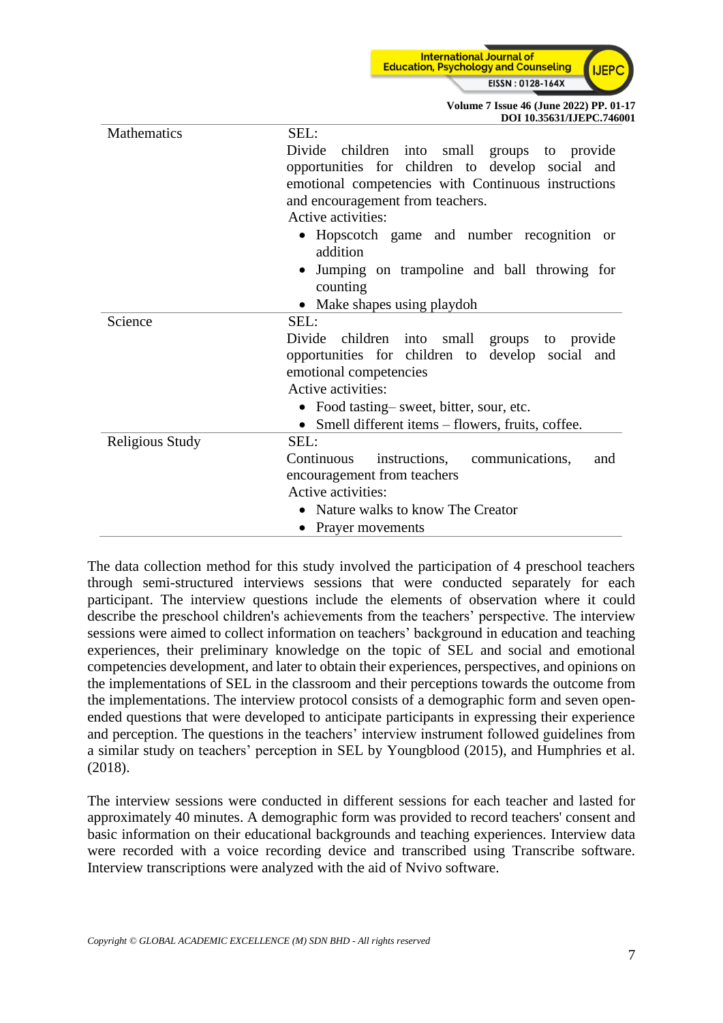**International Journal of Education, Psychology and Counseling** LIER EISSN: 0128-164X

> **Volume 7 Issue 46 (June 2022) PP. 01-17 DOI 10.35631/IJEPC.746001**

| Mathematics     | SEL:                                                    |  |  |  |  |  |  |  |  |
|-----------------|---------------------------------------------------------|--|--|--|--|--|--|--|--|
|                 | Divide children into small groups to provide            |  |  |  |  |  |  |  |  |
|                 | opportunities for children to develop social and        |  |  |  |  |  |  |  |  |
|                 | emotional competencies with Continuous instructions     |  |  |  |  |  |  |  |  |
|                 | and encouragement from teachers.                        |  |  |  |  |  |  |  |  |
|                 | Active activities:                                      |  |  |  |  |  |  |  |  |
|                 | • Hopscotch game and number recognition or<br>addition  |  |  |  |  |  |  |  |  |
|                 | Jumping on trampoline and ball throwing for<br>counting |  |  |  |  |  |  |  |  |
|                 | • Make shapes using playdoh                             |  |  |  |  |  |  |  |  |
| Science         | SEL:                                                    |  |  |  |  |  |  |  |  |
|                 | Divide children into small groups to provide            |  |  |  |  |  |  |  |  |
|                 | opportunities for children to develop social and        |  |  |  |  |  |  |  |  |
|                 | emotional competencies                                  |  |  |  |  |  |  |  |  |
|                 | Active activities:                                      |  |  |  |  |  |  |  |  |
|                 | • Food tasting-sweet, bitter, sour, etc.                |  |  |  |  |  |  |  |  |
|                 | Smell different items – flowers, fruits, coffee.        |  |  |  |  |  |  |  |  |
| Religious Study | SEL:                                                    |  |  |  |  |  |  |  |  |
|                 | instructions, communications,<br>Continuous<br>and      |  |  |  |  |  |  |  |  |
|                 | encouragement from teachers                             |  |  |  |  |  |  |  |  |
|                 | Active activities:                                      |  |  |  |  |  |  |  |  |
|                 | Nature walks to know The Creator                        |  |  |  |  |  |  |  |  |
|                 | Prayer movements                                        |  |  |  |  |  |  |  |  |

The data collection method for this study involved the participation of 4 preschool teachers through semi-structured interviews sessions that were conducted separately for each participant. The interview questions include the elements of observation where it could describe the preschool children's achievements from the teachers' perspective. The interview sessions were aimed to collect information on teachers' background in education and teaching experiences, their preliminary knowledge on the topic of SEL and social and emotional competencies development, and later to obtain their experiences, perspectives, and opinions on the implementations of SEL in the classroom and their perceptions towards the outcome from the implementations. The interview protocol consists of a demographic form and seven openended questions that were developed to anticipate participants in expressing their experience and perception. The questions in the teachers' interview instrument followed guidelines from a similar study on teachers' perception in SEL by Youngblood (2015), and Humphries et al. (2018).

The interview sessions were conducted in different sessions for each teacher and lasted for approximately 40 minutes. A demographic form was provided to record teachers' consent and basic information on their educational backgrounds and teaching experiences. Interview data were recorded with a voice recording device and transcribed using Transcribe software. Interview transcriptions were analyzed with the aid of Nvivo software.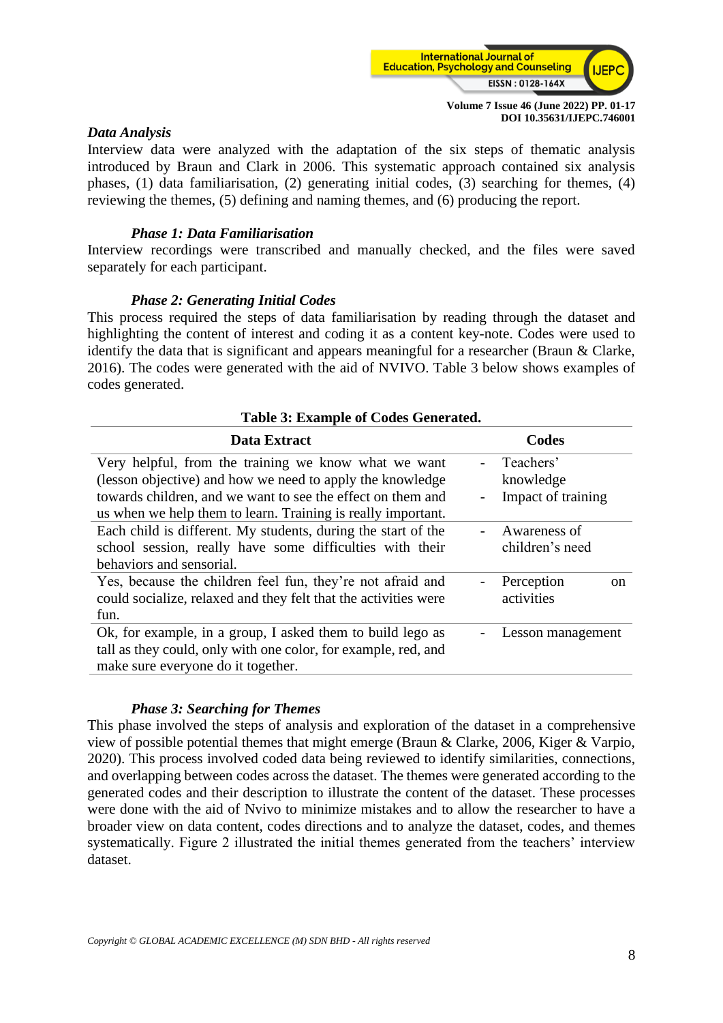

### *Data Analysis*

Interview data were analyzed with the adaptation of the six steps of thematic analysis introduced by Braun and Clark in 2006. This systematic approach contained six analysis phases, (1) data familiarisation, (2) generating initial codes, (3) searching for themes, (4) reviewing the themes, (5) defining and naming themes, and (6) producing the report.

### *Phase 1: Data Familiarisation*

Interview recordings were transcribed and manually checked, and the files were saved separately for each participant.

#### *Phase 2: Generating Initial Codes*

This process required the steps of data familiarisation by reading through the dataset and highlighting the content of interest and coding it as a content key-note. Codes were used to identify the data that is significant and appears meaningful for a researcher (Braun & Clarke, 2016). The codes were generated with the aid of NVIVO. Table 3 below shows examples of codes generated.

**Table 3: Example of Codes Generated.**

| Table 5: Example of Codes Generated. |  |  |  |  |  |  |  |  |  |  |
|--------------------------------------|--|--|--|--|--|--|--|--|--|--|
| Codes                                |  |  |  |  |  |  |  |  |  |  |
|                                      |  |  |  |  |  |  |  |  |  |  |
|                                      |  |  |  |  |  |  |  |  |  |  |
| Impact of training                   |  |  |  |  |  |  |  |  |  |  |
|                                      |  |  |  |  |  |  |  |  |  |  |
|                                      |  |  |  |  |  |  |  |  |  |  |
|                                      |  |  |  |  |  |  |  |  |  |  |
|                                      |  |  |  |  |  |  |  |  |  |  |
| <sub>on</sub>                        |  |  |  |  |  |  |  |  |  |  |
|                                      |  |  |  |  |  |  |  |  |  |  |
|                                      |  |  |  |  |  |  |  |  |  |  |
| Lesson management                    |  |  |  |  |  |  |  |  |  |  |
|                                      |  |  |  |  |  |  |  |  |  |  |
|                                      |  |  |  |  |  |  |  |  |  |  |
|                                      |  |  |  |  |  |  |  |  |  |  |

#### *Phase 3: Searching for Themes*

This phase involved the steps of analysis and exploration of the dataset in a comprehensive view of possible potential themes that might emerge (Braun & Clarke, 2006, Kiger & Varpio, 2020). This process involved coded data being reviewed to identify similarities, connections, and overlapping between codes across the dataset. The themes were generated according to the generated codes and their description to illustrate the content of the dataset. These processes were done with the aid of Nvivo to minimize mistakes and to allow the researcher to have a broader view on data content, codes directions and to analyze the dataset, codes, and themes systematically. Figure 2 illustrated the initial themes generated from the teachers' interview dataset.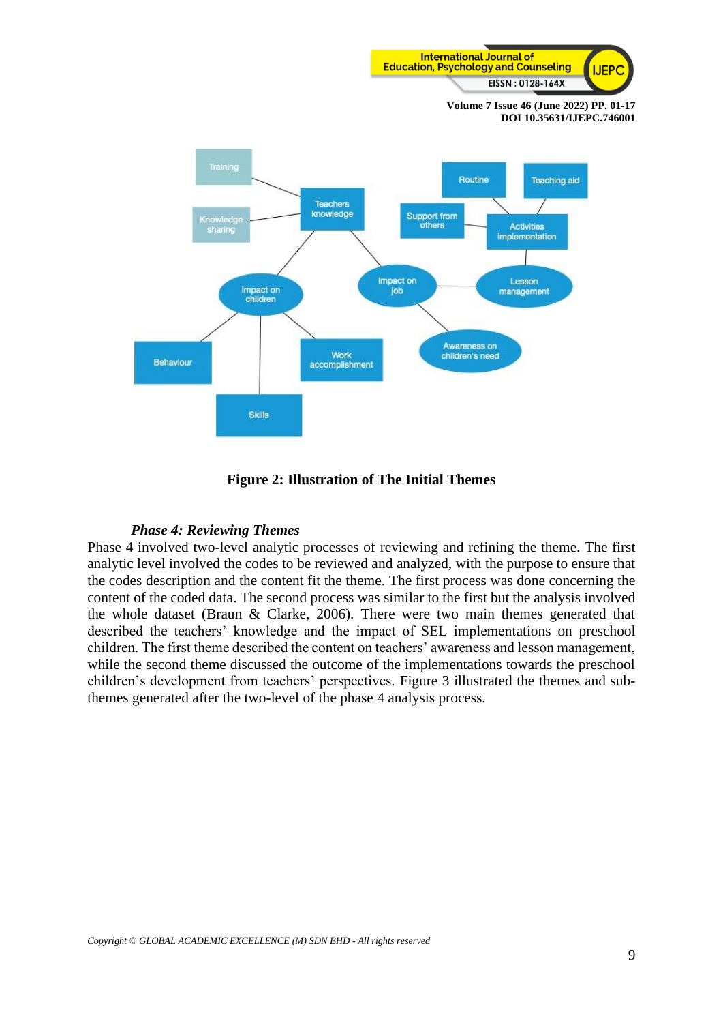



**Figure 2: Illustration of The Initial Themes**

#### *Phase 4: Reviewing Themes*

Phase 4 involved two-level analytic processes of reviewing and refining the theme. The first analytic level involved the codes to be reviewed and analyzed, with the purpose to ensure that the codes description and the content fit the theme. The first process was done concerning the content of the coded data. The second process was similar to the first but the analysis involved the whole dataset (Braun & Clarke, 2006). There were two main themes generated that described the teachers' knowledge and the impact of SEL implementations on preschool children. The first theme described the content on teachers' awareness and lesson management, while the second theme discussed the outcome of the implementations towards the preschool children's development from teachers' perspectives. Figure 3 illustrated the themes and subthemes generated after the two-level of the phase 4 analysis process.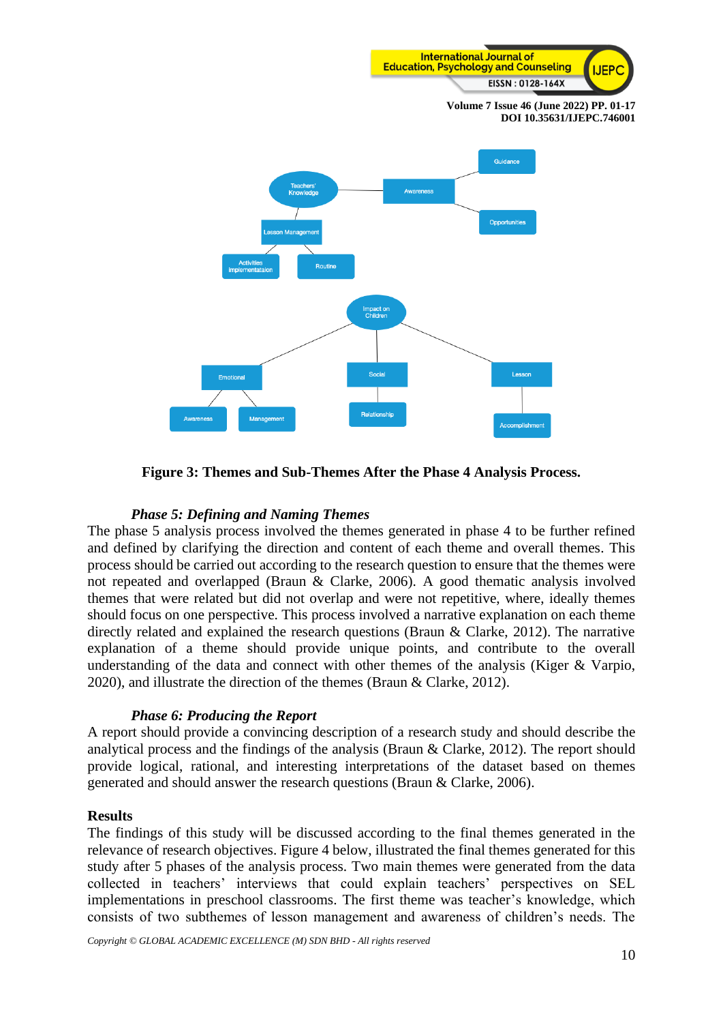

**Figure 3: Themes and Sub-Themes After the Phase 4 Analysis Process.**

# *Phase 5: Defining and Naming Themes*

The phase 5 analysis process involved the themes generated in phase 4 to be further refined and defined by clarifying the direction and content of each theme and overall themes. This process should be carried out according to the research question to ensure that the themes were not repeated and overlapped (Braun & Clarke, 2006). A good thematic analysis involved themes that were related but did not overlap and were not repetitive, where, ideally themes should focus on one perspective. This process involved a narrative explanation on each theme directly related and explained the research questions (Braun & Clarke, 2012). The narrative explanation of a theme should provide unique points, and contribute to the overall understanding of the data and connect with other themes of the analysis (Kiger & Varpio, 2020), and illustrate the direction of the themes (Braun & Clarke, 2012).

### *Phase 6: Producing the Report*

A report should provide a convincing description of a research study and should describe the analytical process and the findings of the analysis (Braun & Clarke, 2012). The report should provide logical, rational, and interesting interpretations of the dataset based on themes generated and should answer the research questions (Braun & Clarke, 2006).

### **Results**

The findings of this study will be discussed according to the final themes generated in the relevance of research objectives. Figure 4 below, illustrated the final themes generated for this study after 5 phases of the analysis process. Two main themes were generated from the data collected in teachers' interviews that could explain teachers' perspectives on SEL implementations in preschool classrooms. The first theme was teacher's knowledge, which consists of two subthemes of lesson management and awareness of children's needs. The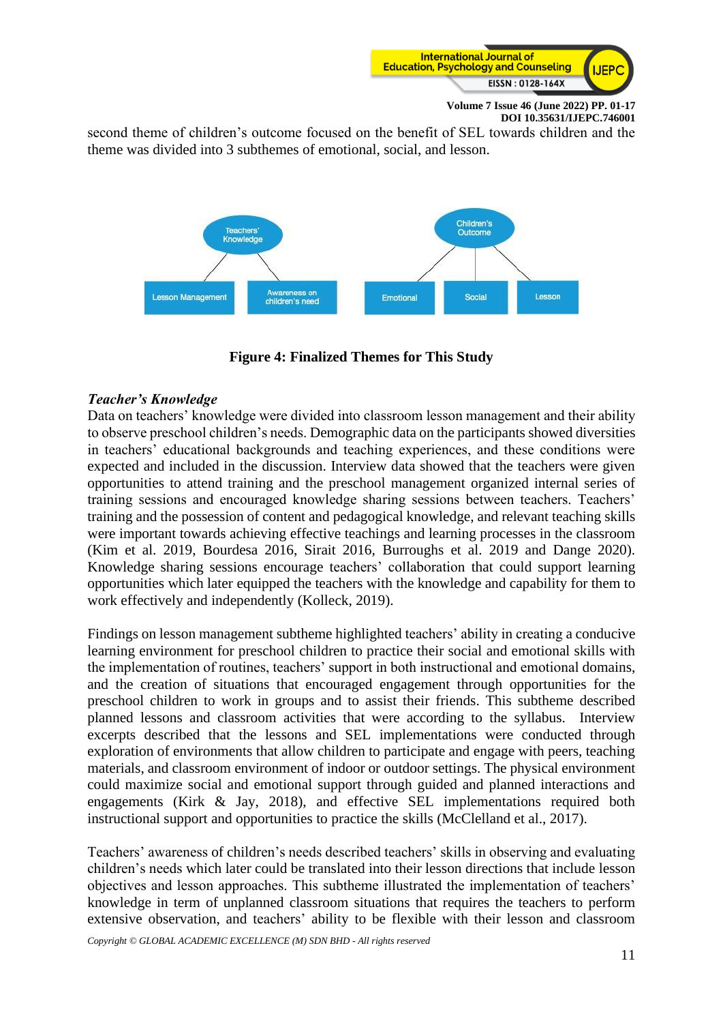

second theme of children's outcome focused on the benefit of SEL towards children and the theme was divided into 3 subthemes of emotional, social, and lesson.



**Figure 4: Finalized Themes for This Study**

# *Teacher's Knowledge*

Data on teachers' knowledge were divided into classroom lesson management and their ability to observe preschool children's needs. Demographic data on the participants showed diversities in teachers' educational backgrounds and teaching experiences, and these conditions were expected and included in the discussion. Interview data showed that the teachers were given opportunities to attend training and the preschool management organized internal series of training sessions and encouraged knowledge sharing sessions between teachers. Teachers' training and the possession of content and pedagogical knowledge, and relevant teaching skills were important towards achieving effective teachings and learning processes in the classroom (Kim et al. 2019, Bourdesa 2016, Sirait 2016, Burroughs et al. 2019 and Dange 2020). Knowledge sharing sessions encourage teachers' collaboration that could support learning opportunities which later equipped the teachers with the knowledge and capability for them to work effectively and independently (Kolleck, 2019).

Findings on lesson management subtheme highlighted teachers' ability in creating a conducive learning environment for preschool children to practice their social and emotional skills with the implementation of routines, teachers' support in both instructional and emotional domains, and the creation of situations that encouraged engagement through opportunities for the preschool children to work in groups and to assist their friends. This subtheme described planned lessons and classroom activities that were according to the syllabus. Interview excerpts described that the lessons and SEL implementations were conducted through exploration of environments that allow children to participate and engage with peers, teaching materials, and classroom environment of indoor or outdoor settings. The physical environment could maximize social and emotional support through guided and planned interactions and engagements (Kirk & Jay, 2018), and effective SEL implementations required both instructional support and opportunities to practice the skills (McClelland et al., 2017).

Teachers' awareness of children's needs described teachers' skills in observing and evaluating children's needs which later could be translated into their lesson directions that include lesson objectives and lesson approaches. This subtheme illustrated the implementation of teachers' knowledge in term of unplanned classroom situations that requires the teachers to perform extensive observation, and teachers' ability to be flexible with their lesson and classroom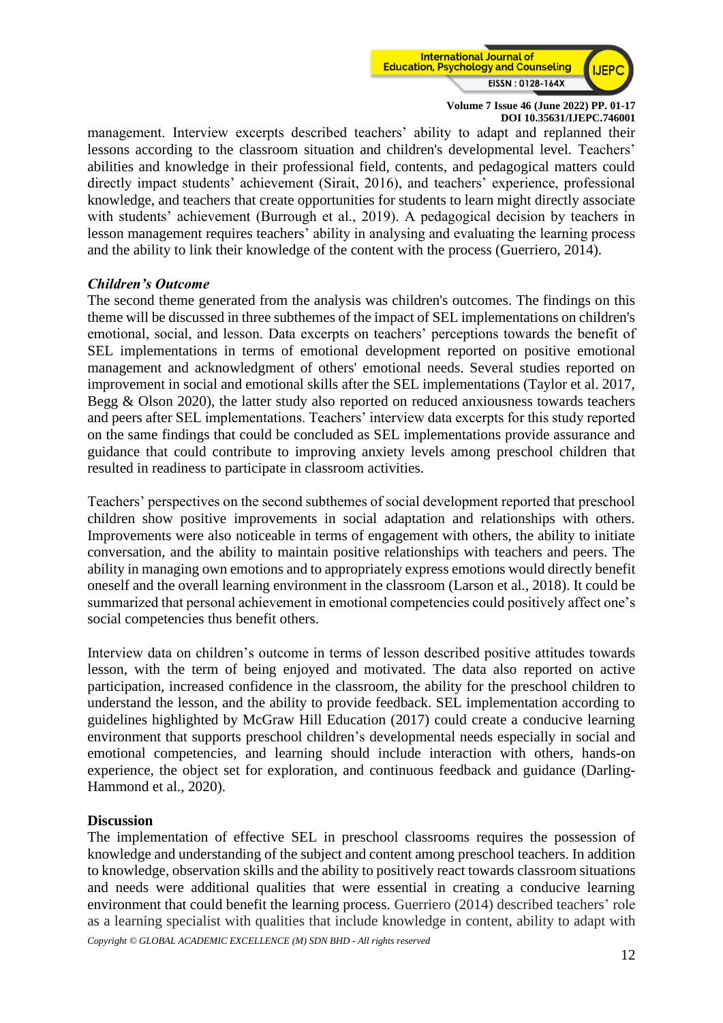

management. Interview excerpts described teachers' ability to adapt and replanned their lessons according to the classroom situation and children's developmental level. Teachers' abilities and knowledge in their professional field, contents, and pedagogical matters could directly impact students' achievement (Sirait, 2016), and teachers' experience, professional knowledge, and teachers that create opportunities for students to learn might directly associate with students' achievement (Burrough et al., 2019). A pedagogical decision by teachers in lesson management requires teachers' ability in analysing and evaluating the learning process and the ability to link their knowledge of the content with the process (Guerriero, 2014).

### *Children's Outcome*

The second theme generated from the analysis was children's outcomes. The findings on this theme will be discussed in three subthemes of the impact of SEL implementations on children's emotional, social, and lesson. Data excerpts on teachers' perceptions towards the benefit of SEL implementations in terms of emotional development reported on positive emotional management and acknowledgment of others' emotional needs. Several studies reported on improvement in social and emotional skills after the SEL implementations (Taylor et al. 2017, Begg & Olson 2020), the latter study also reported on reduced anxiousness towards teachers and peers after SEL implementations. Teachers' interview data excerpts for this study reported on the same findings that could be concluded as SEL implementations provide assurance and guidance that could contribute to improving anxiety levels among preschool children that resulted in readiness to participate in classroom activities.

Teachers' perspectives on the second subthemes of social development reported that preschool children show positive improvements in social adaptation and relationships with others. Improvements were also noticeable in terms of engagement with others, the ability to initiate conversation, and the ability to maintain positive relationships with teachers and peers. The ability in managing own emotions and to appropriately express emotions would directly benefit oneself and the overall learning environment in the classroom (Larson et al., 2018). It could be summarized that personal achievement in emotional competencies could positively affect one's social competencies thus benefit others.

Interview data on children's outcome in terms of lesson described positive attitudes towards lesson, with the term of being enjoyed and motivated. The data also reported on active participation, increased confidence in the classroom, the ability for the preschool children to understand the lesson, and the ability to provide feedback. SEL implementation according to guidelines highlighted by McGraw Hill Education (2017) could create a conducive learning environment that supports preschool children's developmental needs especially in social and emotional competencies, and learning should include interaction with others, hands-on experience, the object set for exploration, and continuous feedback and guidance (Darling-Hammond et al., 2020).

### **Discussion**

The implementation of effective SEL in preschool classrooms requires the possession of knowledge and understanding of the subject and content among preschool teachers. In addition to knowledge, observation skills and the ability to positively react towards classroom situations and needs were additional qualities that were essential in creating a conducive learning environment that could benefit the learning process. Guerriero (2014) described teachers' role as a learning specialist with qualities that include knowledge in content, ability to adapt with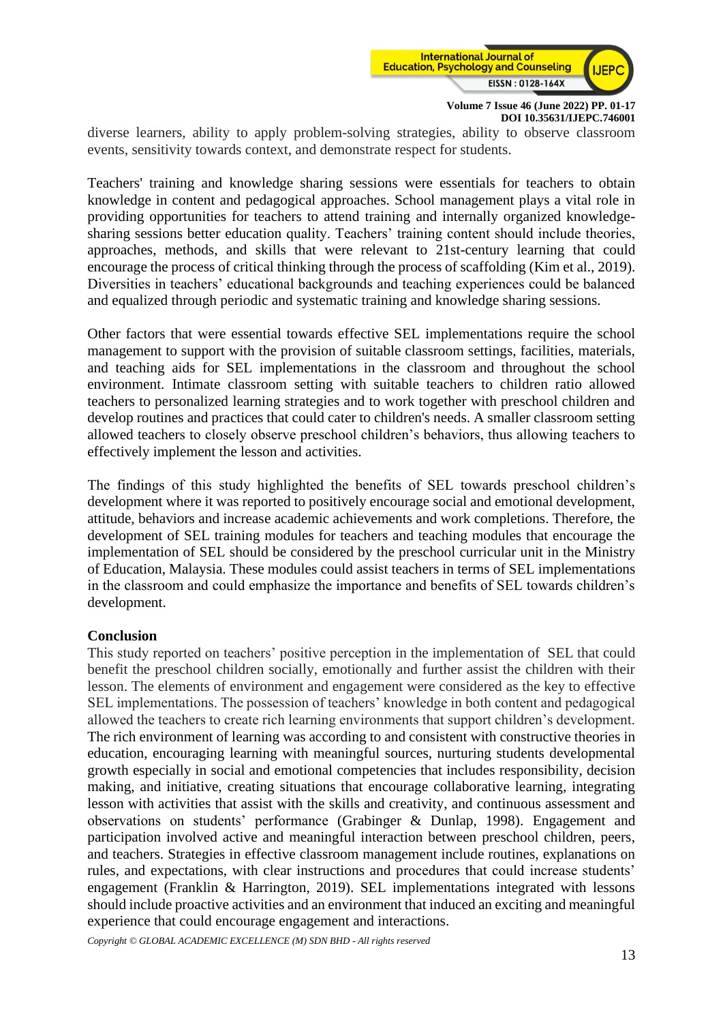

diverse learners, ability to apply problem-solving strategies, ability to observe classroom events, sensitivity towards context, and demonstrate respect for students.

Teachers' training and knowledge sharing sessions were essentials for teachers to obtain knowledge in content and pedagogical approaches. School management plays a vital role in providing opportunities for teachers to attend training and internally organized knowledgesharing sessions better education quality. Teachers' training content should include theories, approaches, methods, and skills that were relevant to 21st-century learning that could encourage the process of critical thinking through the process of scaffolding (Kim et al., 2019). Diversities in teachers' educational backgrounds and teaching experiences could be balanced and equalized through periodic and systematic training and knowledge sharing sessions.

Other factors that were essential towards effective SEL implementations require the school management to support with the provision of suitable classroom settings, facilities, materials, and teaching aids for SEL implementations in the classroom and throughout the school environment. Intimate classroom setting with suitable teachers to children ratio allowed teachers to personalized learning strategies and to work together with preschool children and develop routines and practices that could cater to children's needs. A smaller classroom setting allowed teachers to closely observe preschool children's behaviors, thus allowing teachers to effectively implement the lesson and activities.

The findings of this study highlighted the benefits of SEL towards preschool children's development where it was reported to positively encourage social and emotional development, attitude, behaviors and increase academic achievements and work completions. Therefore, the development of SEL training modules for teachers and teaching modules that encourage the implementation of SEL should be considered by the preschool curricular unit in the Ministry of Education, Malaysia. These modules could assist teachers in terms of SEL implementations in the classroom and could emphasize the importance and benefits of SEL towards children's development.

### **Conclusion**

This study reported on teachers' positive perception in the implementation of SEL that could benefit the preschool children socially, emotionally and further assist the children with their lesson. The elements of environment and engagement were considered as the key to effective SEL implementations. The possession of teachers' knowledge in both content and pedagogical allowed the teachers to create rich learning environments that support children's development. The rich environment of learning was according to and consistent with constructive theories in education, encouraging learning with meaningful sources, nurturing students developmental growth especially in social and emotional competencies that includes responsibility, decision making, and initiative, creating situations that encourage collaborative learning, integrating lesson with activities that assist with the skills and creativity, and continuous assessment and observations on students' performance (Grabinger & Dunlap, 1998). Engagement and participation involved active and meaningful interaction between preschool children, peers, and teachers. Strategies in effective classroom management include routines, explanations on rules, and expectations, with clear instructions and procedures that could increase students' engagement (Franklin & Harrington, 2019). SEL implementations integrated with lessons should include proactive activities and an environment that induced an exciting and meaningful experience that could encourage engagement and interactions.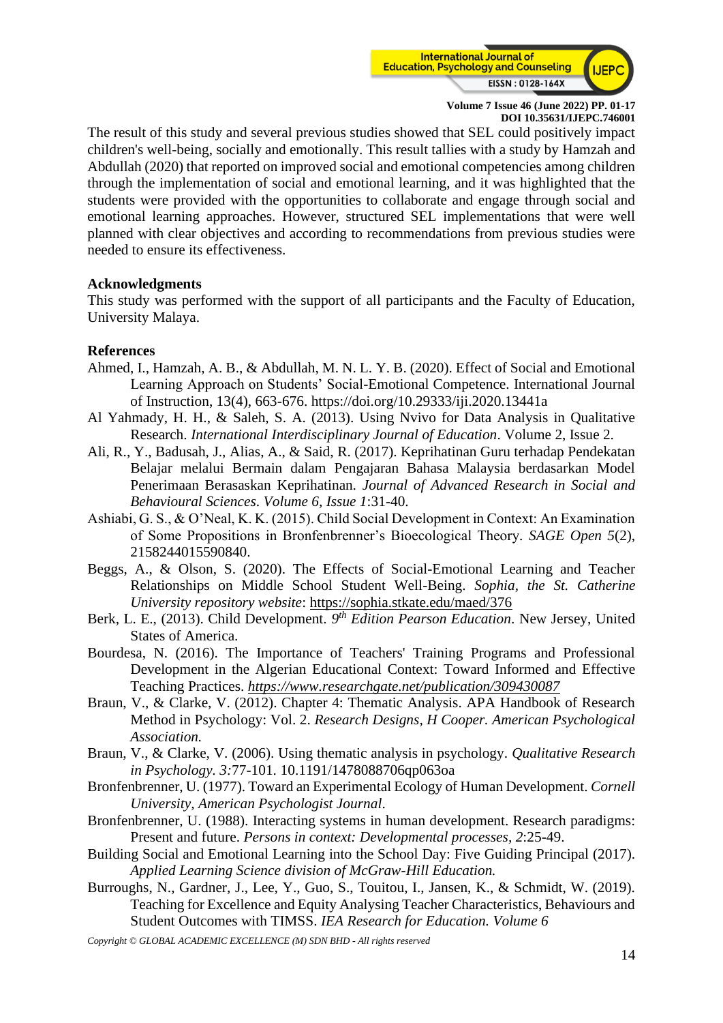

The result of this study and several previous studies showed that SEL could positively impact children's well-being, socially and emotionally. This result tallies with a study by Hamzah and Abdullah (2020) that reported on improved social and emotional competencies among children through the implementation of social and emotional learning, and it was highlighted that the students were provided with the opportunities to collaborate and engage through social and emotional learning approaches. However, structured SEL implementations that were well planned with clear objectives and according to recommendations from previous studies were needed to ensure its effectiveness.

### **Acknowledgments**

This study was performed with the support of all participants and the Faculty of Education, University Malaya.

# **References**

- Ahmed, I., Hamzah, A. B., & Abdullah, M. N. L. Y. B. (2020). Effect of Social and Emotional Learning Approach on Students' Social-Emotional Competence. International Journal of Instruction, 13(4), 663-676. https://doi.org/10.29333/iji.2020.13441a
- Al Yahmady, H. H., & Saleh, S. A. (2013). Using Nvivo for Data Analysis in Qualitative Research. *International Interdisciplinary Journal of Education*. Volume 2, Issue 2.
- Ali, R., Y., Badusah, J., Alias, A., & Said, R. (2017). Keprihatinan Guru terhadap Pendekatan Belajar melalui Bermain dalam Pengajaran Bahasa Malaysia berdasarkan Model Penerimaan Berasaskan Keprihatinan*. Journal of Advanced Research in Social and Behavioural Sciences*. *Volume 6, Issue 1*:31-40.
- Ashiabi, G. S., & O'Neal, K. K. (2015). Child Social Development in Context: An Examination of Some Propositions in Bronfenbrenner's Bioecological Theory*. SAGE Open 5*(2), 2158244015590840.
- Beggs, A., & Olson, S. (2020). The Effects of Social-Emotional Learning and Teacher Relationships on Middle School Student Well-Being. *Sophia, the St. Catherine University repository website*:<https://sophia.stkate.edu/maed/376>
- Berk, L. E., (2013). Child Development. 9<sup>th</sup> Edition Pearson Education. New Jersey, United States of America.
- Bourdesa, N. (2016). The Importance of Teachers' Training Programs and Professional Development in the Algerian Educational Context: Toward Informed and Effective Teaching Practices. *<https://www.researchgate.net/publication/309430087>*
- Braun, V., & Clarke, V. (2012). Chapter 4: Thematic Analysis. APA Handbook of Research Method in Psychology: Vol. 2. *Research Designs, H Cooper. American Psychological Association.*
- Braun, V., & Clarke, V. (2006). Using thematic analysis in psychology. *Qualitative Research in Psychology. 3:*77-101. 10.1191/1478088706qp063oa
- Bronfenbrenner, U. (1977). Toward an Experimental Ecology of Human Development. *Cornell University, American Psychologist Journal*.
- Bronfenbrenner, U. (1988). Interacting systems in human development. Research paradigms: Present and future. *Persons in context: Developmental processes, 2*:25-49.
- Building Social and Emotional Learning into the School Day: Five Guiding Principal (2017). *Applied Learning Science division of McGraw-Hill Education.*
- Burroughs, N., Gardner, J., Lee, Y., Guo, S., Touitou, I., Jansen, K., & Schmidt, W. (2019). Teaching for Excellence and Equity Analysing Teacher Characteristics, Behaviours and Student Outcomes with TIMSS. *IEA Research for Education. Volume 6*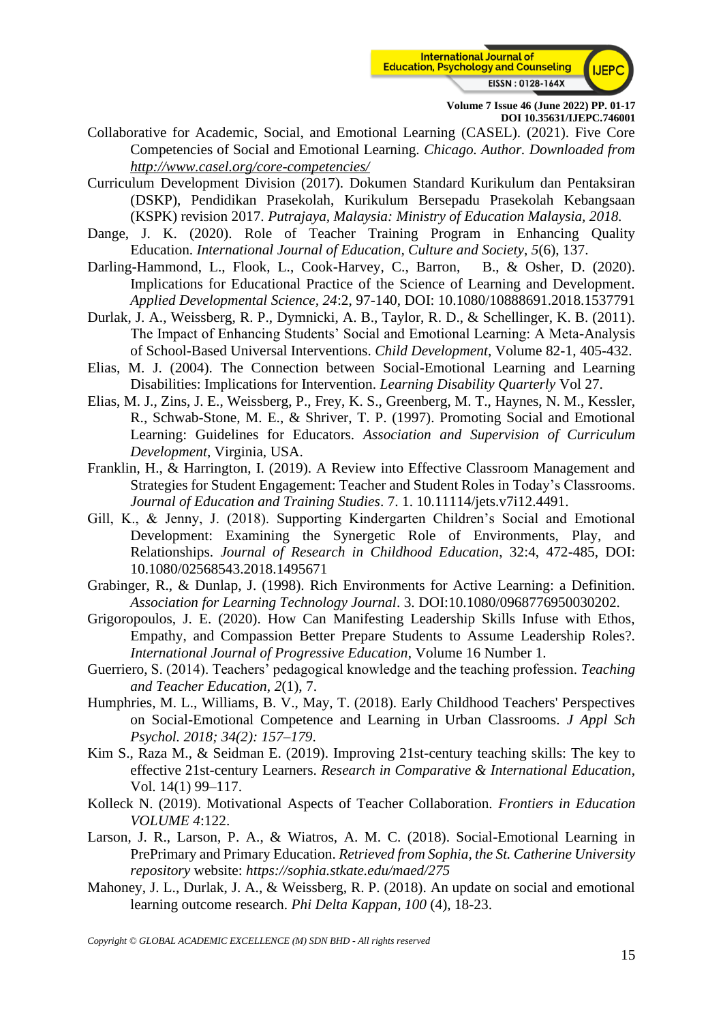

- Collaborative for Academic, Social, and Emotional Learning (CASEL). (2021). Five Core Competencies of Social and Emotional Learning. *Chicago. Author. Downloaded from <http://www.casel.org/core-competencies/>*
- Curriculum Development Division (2017). Dokumen Standard Kurikulum dan Pentaksiran (DSKP), Pendidikan Prasekolah, Kurikulum Bersepadu Prasekolah Kebangsaan (KSPK) revision 2017. *Putrajaya, Malaysia: Ministry of Education Malaysia, 2018.*
- Dange, J. K. (2020). Role of Teacher Training Program in Enhancing Quality Education. *International Journal of Education, Culture and Society*, *5*(6), 137.
- Darling-Hammond, L., Flook, L., Cook-Harvey, C., Barron, B., & Osher, D. (2020). Implications for Educational Practice of the Science of Learning and Development. *Applied Developmental Science, 24*:2, 97-140, DOI: 10.1080/10888691.2018.1537791
- Durlak, J. A., Weissberg, R. P., Dymnicki, A. B., Taylor, R. D., & Schellinger, K. B. (2011). The Impact of Enhancing Students' Social and Emotional Learning: A Meta-Analysis of School-Based Universal Interventions. *Child Development*, Volume 82-1, 405-432.
- Elias, M. J. (2004). The Connection between Social-Emotional Learning and Learning Disabilities: Implications for Intervention. *Learning Disability Quarterly* Vol 27.
- Elias, M. J., Zins, J. E., Weissberg, P., Frey, K. S., Greenberg, M. T., Haynes, N. M., Kessler, R., Schwab-Stone, M. E., & Shriver, T. P. (1997). Promoting Social and Emotional Learning: Guidelines for Educators. *Association and Supervision of Curriculum Development*, Virginia, USA.
- Franklin, H., & Harrington, I. (2019). A Review into Effective Classroom Management and Strategies for Student Engagement: Teacher and Student Roles in Today's Classrooms. *Journal of Education and Training Studies*. 7. 1. 10.11114/jets.v7i12.4491.
- Gill, K., & Jenny, J. (2018). Supporting Kindergarten Children's Social and Emotional Development: Examining the Synergetic Role of Environments, Play, and Relationships. *Journal of Research in Childhood Education*, 32:4, 472-485, DOI: 10.1080/02568543.2018.1495671
- Grabinger, R., & Dunlap, J. (1998). Rich Environments for Active Learning: a Definition. *Association for Learning Technology Journal*. 3. DOI:10.1080/0968776950030202.
- Grigoropoulos, J. E. (2020). How Can Manifesting Leadership Skills Infuse with Ethos, Empathy, and Compassion Better Prepare Students to Assume Leadership Roles?. *International Journal of Progressive Education*, Volume 16 Number 1.
- Guerriero, S. (2014). Teachers' pedagogical knowledge and the teaching profession. *Teaching and Teacher Education*, *2*(1), 7.
- Humphries, M. L., Williams, B. V., May, T. (2018). Early Childhood Teachers' Perspectives on Social-Emotional Competence and Learning in Urban Classrooms. *J Appl Sch Psychol. 2018; 34(2): 157–179*.
- Kim S., Raza M., & Seidman E. (2019). Improving 21st-century teaching skills: The key to effective 21st-century Learners. *Research in Comparative & International Education*, Vol. 14(1) 99–117.
- Kolleck N. (2019). Motivational Aspects of Teacher Collaboration. *Frontiers in Education VOLUME 4*:122.
- Larson, J. R., Larson, P. A., & Wiatros, A. M. C. (2018). Social-Emotional Learning in PrePrimary and Primary Education. *Retrieved from Sophia, the St. Catherine University repository* website: *<https://sophia.stkate.edu/maed/275>*
- Mahoney, J. L., Durlak, J. A., & Weissberg, R. P. (2018). An update on social and emotional learning outcome research. *Phi Delta Kappan, 100* (4), 18-23.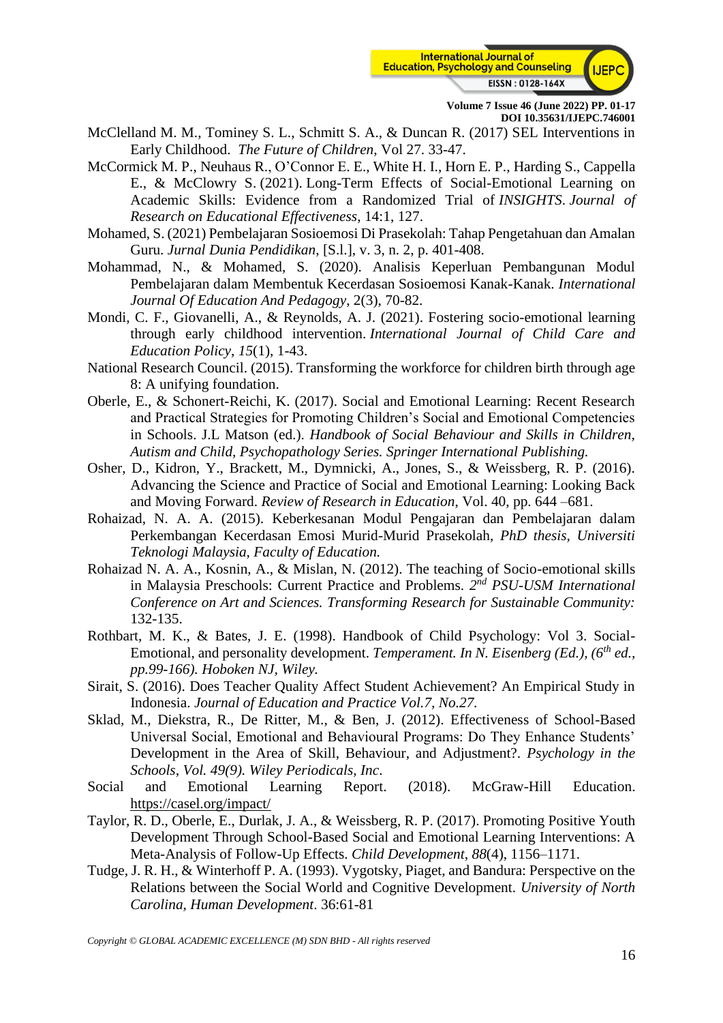

- McClelland M. M., Tominey S. L., Schmitt S. A., & Duncan R. (2017) SEL Interventions in Early Childhood. *The Future of Children*, Vol 27. 33-47.
- McCormick M. P., Neuhaus R., O'Connor E. E., White H. I., Horn E. P., Harding S., Cappella E., & McClowry S. (2021). Long-Term Effects of Social-Emotional Learning on Academic Skills: Evidence from a Randomized Trial of *INSIGHTS*. *Journal of Research on Educational Effectiveness*, 14:1, 127.
- Mohamed, S. (2021) Pembelajaran Sosioemosi Di Prasekolah: Tahap Pengetahuan dan Amalan Guru. *Jurnal Dunia Pendidikan*, [S.l.], v. 3, n. 2, p. 401-408.
- Mohammad, N., & Mohamed, S. (2020). Analisis Keperluan Pembangunan Modul Pembelajaran dalam Membentuk Kecerdasan Sosioemosi Kanak-Kanak. *International Journal Of Education And Pedagogy*, 2(3), 70-82.
- Mondi, C. F., Giovanelli, A., & Reynolds, A. J. (2021). Fostering socio-emotional learning through early childhood intervention. *International Journal of Child Care and Education Policy*, *15*(1), 1-43.
- National Research Council. (2015). Transforming the workforce for children birth through age 8: A unifying foundation.
- Oberle, E., & Schonert-Reichi, K. (2017). Social and Emotional Learning: Recent Research and Practical Strategies for Promoting Children's Social and Emotional Competencies in Schools. J.L Matson (ed.). *Handbook of Social Behaviour and Skills in Children, Autism and Child, Psychopathology Series. Springer International Publishing.*
- Osher, D., Kidron, Y., Brackett, M., Dymnicki, A., Jones, S., & Weissberg, R. P. (2016). Advancing the Science and Practice of Social and Emotional Learning: Looking Back and Moving Forward. *Review of Research in Education*, Vol. 40, pp. 644 –681.
- Rohaizad, N. A. A. (2015). Keberkesanan Modul Pengajaran dan Pembelajaran dalam Perkembangan Kecerdasan Emosi Murid-Murid Prasekolah, *PhD thesis, Universiti Teknologi Malaysia, Faculty of Education.*
- Rohaizad N. A. A., Kosnin, A., & Mislan, N. (2012). The teaching of Socio-emotional skills in Malaysia Preschools: Current Practice and Problems. 2<sup>nd</sup> PSU-USM International *Conference on Art and Sciences. Transforming Research for Sustainable Community:* 132-135.
- Rothbart, M. K., & Bates, J. E. (1998). Handbook of Child Psychology: Vol 3. Social-Emotional, and personality development. *Temperament. In N. Eisenberg (Ed.), (6th ed., pp.99-166). Hoboken NJ, Wiley.*
- Sirait, S. (2016). Does Teacher Quality Affect Student Achievement? An Empirical Study in Indonesia. *Journal of Education and Practice Vol.7, No.27.*
- Sklad, M., Diekstra, R., De Ritter, M., & Ben, J. (2012). Effectiveness of School-Based Universal Social, Emotional and Behavioural Programs: Do They Enhance Students' Development in the Area of Skill, Behaviour, and Adjustment?. *Psychology in the Schools, Vol. 49(9). Wiley Periodicals, Inc*.
- Social and Emotional Learning Report. (2018). McGraw-Hill Education. <https://casel.org/impact/>
- Taylor, R. D., Oberle, E., Durlak, J. A., & Weissberg, R. P. (2017). Promoting Positive Youth Development Through School-Based Social and Emotional Learning Interventions: A Meta-Analysis of Follow-Up Effects. *Child Development*, *88*(4), 1156–1171.
- Tudge, J. R. H., & Winterhoff P. A. (1993). Vygotsky, Piaget, and Bandura: Perspective on the Relations between the Social World and Cognitive Development. *University of North Carolina, Human Development*. 36:61-81